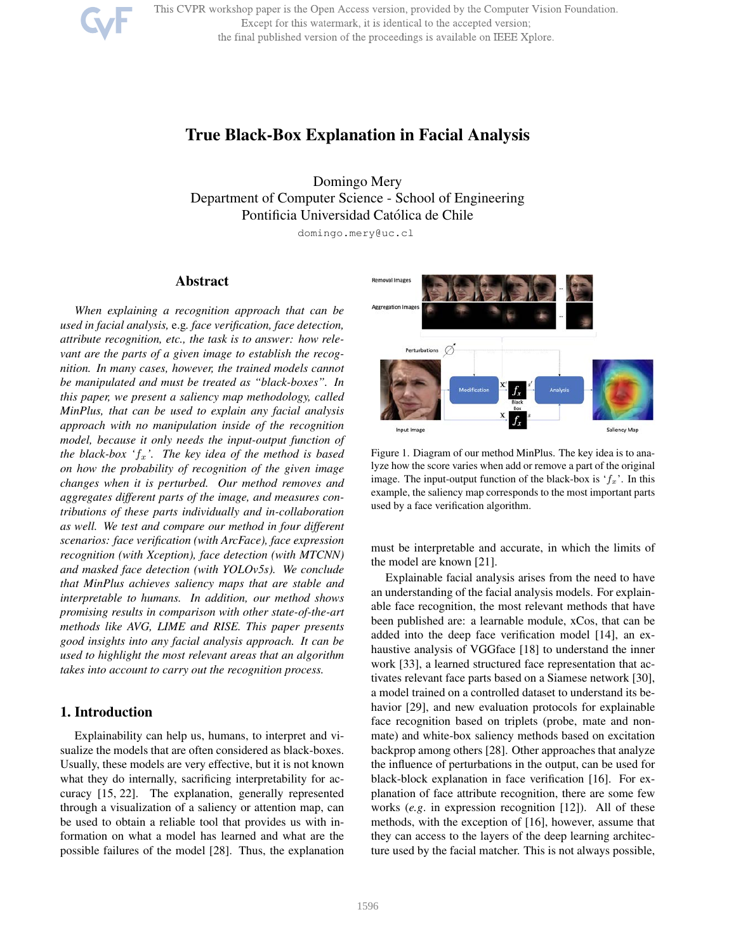This CVPR workshop paper is the Open Access version, provided by the Computer Vision Foundation. Except for this watermark, it is identical to the accepted version; the final published version of the proceedings is available on IEEE Xplore.



Domingo Mery Department of Computer Science - School of Engineering Pontificia Universidad Católica de Chile

domingo.mery@uc.cl

# Abstract

*When explaining a recognition approach that can be used in facial analysis,* e.g*. face verification, face detection, attribute recognition, etc., the task is to answer: how relevant are the parts of a given image to establish the recognition. In many cases, however, the trained models cannot be manipulated and must be treated as "black-boxes". In this paper, we present a saliency map methodology, called MinPlus, that can be used to explain any facial analysis approach with no manipulation inside of the recognition model, because it only needs the input-output function of the black-box 'fx'. The key idea of the method is based on how the probability of recognition of the given image changes when it is perturbed. Our method removes and aggregates different parts of the image, and measures contributions of these parts individually and in-collaboration as well. We test and compare our method in four different scenarios: face verification (with ArcFace), face expression recognition (with Xception), face detection (with MTCNN) and masked face detection (with YOLOv5s). We conclude that MinPlus achieves saliency maps that are stable and interpretable to humans. In addition, our method shows promising results in comparison with other state-of-the-art methods like AVG, LIME and RISE. This paper presents good insights into any facial analysis approach. It can be used to highlight the most relevant areas that an algorithm takes into account to carry out the recognition process.*

# 1. Introduction

Explainability can help us, humans, to interpret and visualize the models that are often considered as black-boxes. Usually, these models are very effective, but it is not known what they do internally, sacrificing interpretability for accuracy [15, 22]. The explanation, generally represented through a visualization of a saliency or attention map, can be used to obtain a reliable tool that provides us with information on what a model has learned and what are the possible failures of the model [28]. Thus, the explanation



Figure 1. Diagram of our method MinPlus. The key idea is to analyze how the score varies when add or remove a part of the original image. The input-output function of the black-box is  $f_x$ . In this example, the saliency map corresponds to the most important parts used by a face verification algorithm.

must be interpretable and accurate, in which the limits of the model are known [21].

Explainable facial analysis arises from the need to have an understanding of the facial analysis models. For explainable face recognition, the most relevant methods that have been published are: a learnable module, xCos, that can be added into the deep face verification model [14], an exhaustive analysis of VGGface [18] to understand the inner work [33], a learned structured face representation that activates relevant face parts based on a Siamese network [30], a model trained on a controlled dataset to understand its behavior [29], and new evaluation protocols for explainable face recognition based on triplets (probe, mate and nonmate) and white-box saliency methods based on excitation backprop among others [28]. Other approaches that analyze the influence of perturbations in the output, can be used for black-block explanation in face verification [16]. For explanation of face attribute recognition, there are some few works (*e.g*. in expression recognition [12]). All of these methods, with the exception of [16], however, assume that they can access to the layers of the deep learning architecture used by the facial matcher. This is not always possible,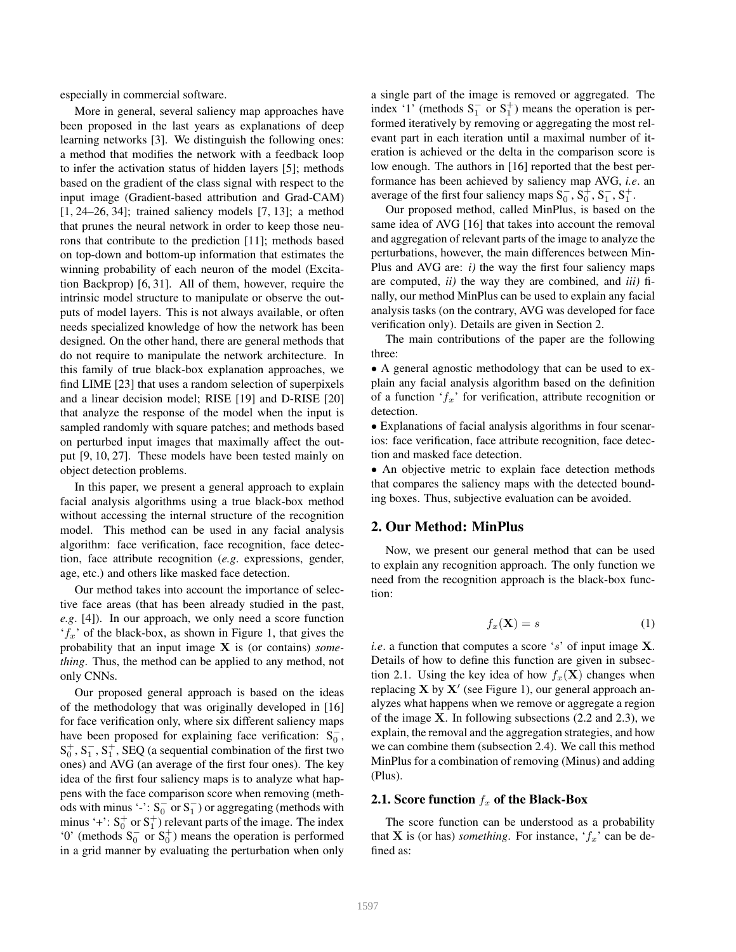especially in commercial software.

More in general, several saliency map approaches have been proposed in the last years as explanations of deep learning networks [3]. We distinguish the following ones: a method that modifies the network with a feedback loop to infer the activation status of hidden layers [5]; methods based on the gradient of the class signal with respect to the input image (Gradient-based attribution and Grad-CAM) [1, 24–26, 34]; trained saliency models [7, 13]; a method that prunes the neural network in order to keep those neurons that contribute to the prediction [11]; methods based on top-down and bottom-up information that estimates the winning probability of each neuron of the model (Excitation Backprop) [6, 31]. All of them, however, require the intrinsic model structure to manipulate or observe the outputs of model layers. This is not always available, or often needs specialized knowledge of how the network has been designed. On the other hand, there are general methods that do not require to manipulate the network architecture. In this family of true black-box explanation approaches, we find LIME [23] that uses a random selection of superpixels and a linear decision model; RISE [19] and D-RISE [20] that analyze the response of the model when the input is sampled randomly with square patches; and methods based on perturbed input images that maximally affect the output [9, 10, 27]. These models have been tested mainly on object detection problems.

In this paper, we present a general approach to explain facial analysis algorithms using a true black-box method without accessing the internal structure of the recognition model. This method can be used in any facial analysis algorithm: face verification, face recognition, face detection, face attribute recognition (*e.g*. expressions, gender, age, etc.) and others like masked face detection.

Our method takes into account the importance of selective face areas (that has been already studied in the past, *e.g*. [4]). In our approach, we only need a score function '*fx*' of the black-box, as shown in Figure 1, that gives the probability that an input image X is (or contains) *something*. Thus, the method can be applied to any method, not only CNNs.

Our proposed general approach is based on the ideas of the methodology that was originally developed in [16] for face verification only, where six different saliency maps have been proposed for explaining face verification:  $S_0^-$ ,  $S_0^+$ ,  $S_1^-$ ,  $S_1^+$ , SEQ (a sequential combination of the first two ones) and AVG (an average of the first four ones). The key idea of the first four saliency maps is to analyze what happens with the face comparison score when removing (methods with minus '-':  $S_0^-$  or  $S_1^-$ ) or aggregating (methods with minus '+':  $S_0^+$  or  $S_1^+$ ) relevant parts of the image. The index '0' (methods  $S_0^-$  or  $S_0^+$ ) means the operation is performed in a grid manner by evaluating the perturbation when only

a single part of the image is removed or aggregated. The index '1' (methods  $S_1^-$  or  $S_1^+$ ) means the operation is performed iteratively by removing or aggregating the most relevant part in each iteration until a maximal number of iteration is achieved or the delta in the comparison score is low enough. The authors in [16] reported that the best performance has been achieved by saliency map AVG, *i.e*. an average of the first four saliency maps  $S_0^-, S_0^+, S_1^-, S_1^+$ .

Our proposed method, called MinPlus, is based on the same idea of AVG [16] that takes into account the removal and aggregation of relevant parts of the image to analyze the perturbations, however, the main differences between Min-Plus and AVG are: *i)* the way the first four saliency maps are computed, *ii)* the way they are combined, and *iii)* finally, our method MinPlus can be used to explain any facial analysis tasks (on the contrary, AVG was developed for face verification only). Details are given in Section 2.

The main contributions of the paper are the following three:

*•* A general agnostic methodology that can be used to explain any facial analysis algorithm based on the definition of a function '*fx*' for verification, attribute recognition or detection.

*•* Explanations of facial analysis algorithms in four scenarios: face verification, face attribute recognition, face detection and masked face detection.

• An objective metric to explain face detection methods that compares the saliency maps with the detected bounding boxes. Thus, subjective evaluation can be avoided.

## 2. Our Method: MinPlus

Now, we present our general method that can be used to explain any recognition approach. The only function we need from the recognition approach is the black-box function:

$$
f_x(\mathbf{X}) = s \tag{1}
$$

*i.e*. a function that computes a score '*s*' of input image X. Details of how to define this function are given in subsection 2.1. Using the key idea of how  $f_x(\mathbf{X})$  changes when replacing  $X$  by  $X'$  (see Figure 1), our general approach analyzes what happens when we remove or aggregate a region of the image  $X$ . In following subsections (2.2 and 2.3), we explain, the removal and the aggregation strategies, and how we can combine them (subsection 2.4). We call this method MinPlus for a combination of removing (Minus) and adding (Plus).

# 2.1. Score function *f<sup>x</sup>* of the Black-Box

The score function can be understood as a probability that **X** is (or has) *something*. For instance,  $f_x$  can be defined as: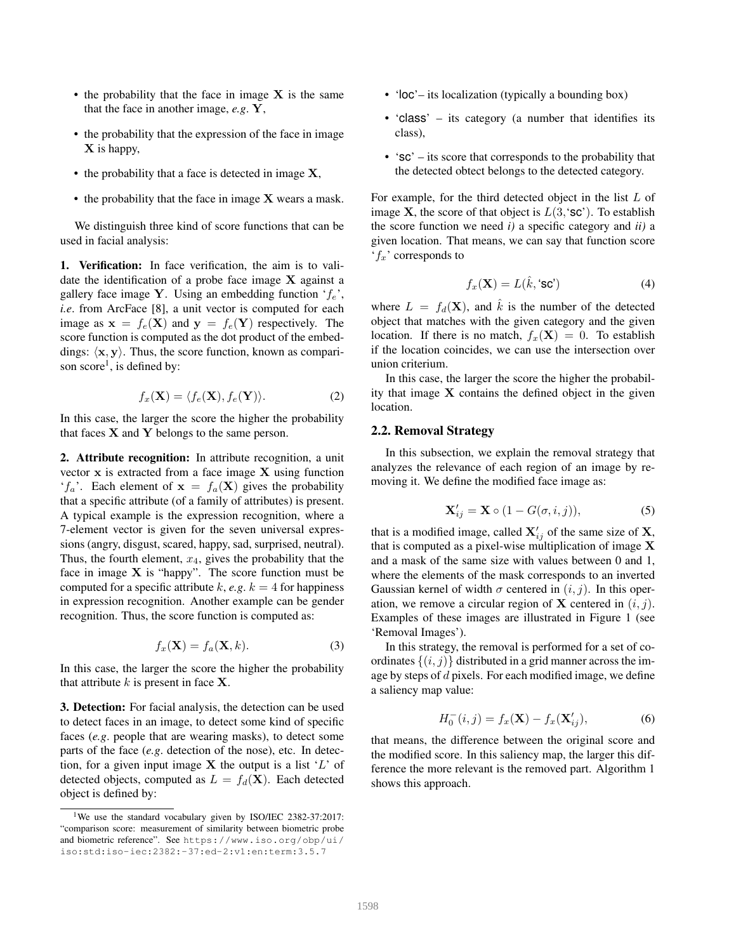- the probability that the face in image  $X$  is the same that the face in another image, *e.g*. Y,
- the probability that the expression of the face in image  $X$  is happy,
- the probability that a face is detected in image  $X$ ,
- the probability that the face in image **X** wears a mask.

We distinguish three kind of score functions that can be used in facial analysis:

1. Verification: In face verification, the aim is to validate the identification of a probe face image  $X$  against a gallery face image Y. Using an embedding function '*fe*', *i.e*. from ArcFace [8], a unit vector is computed for each image as  $\mathbf{x} = f_e(\mathbf{X})$  and  $\mathbf{y} = f_e(\mathbf{Y})$  respectively. The score function is computed as the dot product of the embeddings:  $\langle x, y \rangle$ . Thus, the score function, known as comparison  $score<sup>1</sup>$ , is defined by:

$$
f_x(\mathbf{X}) = \langle f_e(\mathbf{X}), f_e(\mathbf{Y}) \rangle.
$$
 (2)

In this case, the larger the score the higher the probability that faces  $X$  and  $Y$  belongs to the same person.

2. Attribute recognition: In attribute recognition, a unit vector  $x$  is extracted from a face image  $X$  using function  $f_a$ . Each element of  $x = f_a(X)$  gives the probability that a specific attribute (of a family of attributes) is present. A typical example is the expression recognition, where a 7-element vector is given for the seven universal expressions (angry, disgust, scared, happy, sad, surprised, neutral). Thus, the fourth element, *x*4, gives the probability that the face in image  $X$  is "happy". The score function must be computed for a specific attribute  $k$ ,  $e.g. k = 4$  for happiness in expression recognition. Another example can be gender recognition. Thus, the score function is computed as:

$$
f_x(\mathbf{X}) = f_a(\mathbf{X}, k). \tag{3}
$$

In this case, the larger the score the higher the probability that attribute  $k$  is present in face  $X$ .

3. Detection: For facial analysis, the detection can be used to detect faces in an image, to detect some kind of specific faces (*e.g*. people that are wearing masks), to detect some parts of the face (*e.g*. detection of the nose), etc. In detection, for a given input image X the output is a list '*L*' of detected objects, computed as  $L = f_d(\mathbf{X})$ . Each detected object is defined by:

- 'loc'– its localization (typically a bounding box)
- 'class' its category (a number that identifies its class),
- 'sc' its score that corresponds to the probability that the detected obtect belongs to the detected category.

For example, for the third detected object in the list *L* of image **X**, the score of that object is  $L(3, \text{sc})$ . To establish the score function we need *i)* a specific category and *ii)* a given location. That means, we can say that function score '*fx*' corresponds to

$$
f_x(\mathbf{X}) = L(\hat{k}, 'sc')
$$
 (4)

where  $L = f_d(\mathbf{X})$ , and  $\hat{k}$  is the number of the detected object that matches with the given category and the given location. If there is no match,  $f_x(\mathbf{X})=0$ . To establish if the location coincides, we can use the intersection over union criterium.

In this case, the larger the score the higher the probability that image  $X$  contains the defined object in the given location.

#### 2.2. Removal Strategy

In this subsection, we explain the removal strategy that analyzes the relevance of each region of an image by removing it. We define the modified face image as:

$$
\mathbf{X}'_{ij} = \mathbf{X} \circ (1 - G(\sigma, i, j)),\tag{5}
$$

that is a modified image, called  $X'_{ij}$  of the same size of  $X$ , that is computed as a pixel-wise multiplication of image  $X$ and a mask of the same size with values between 0 and 1, where the elements of the mask corresponds to an inverted Gaussian kernel of width  $\sigma$  centered in  $(i, j)$ . In this operation, we remove a circular region of **X** centered in  $(i, j)$ . Examples of these images are illustrated in Figure 1 (see 'Removal Images').

In this strategy, the removal is performed for a set of coordinates  $\{(i, j)\}$  distributed in a grid manner across the image by steps of *d* pixels. For each modified image, we define a saliency map value:

$$
H_0^-(i,j) = f_x(\mathbf{X}) - f_x(\mathbf{X}'_{ij}),
$$
 (6)

that means, the difference between the original score and the modified score. In this saliency map, the larger this difference the more relevant is the removed part. Algorithm 1 shows this approach.

<sup>&</sup>lt;sup>1</sup>We use the standard vocabulary given by ISO/IEC 2382-37:2017: "comparison score: measurement of similarity between biometric probe and biometric reference". See https://www.iso.org/obp/ui/ iso:std:iso-iec:2382:-37:ed-2:v1:en:term:3.5.7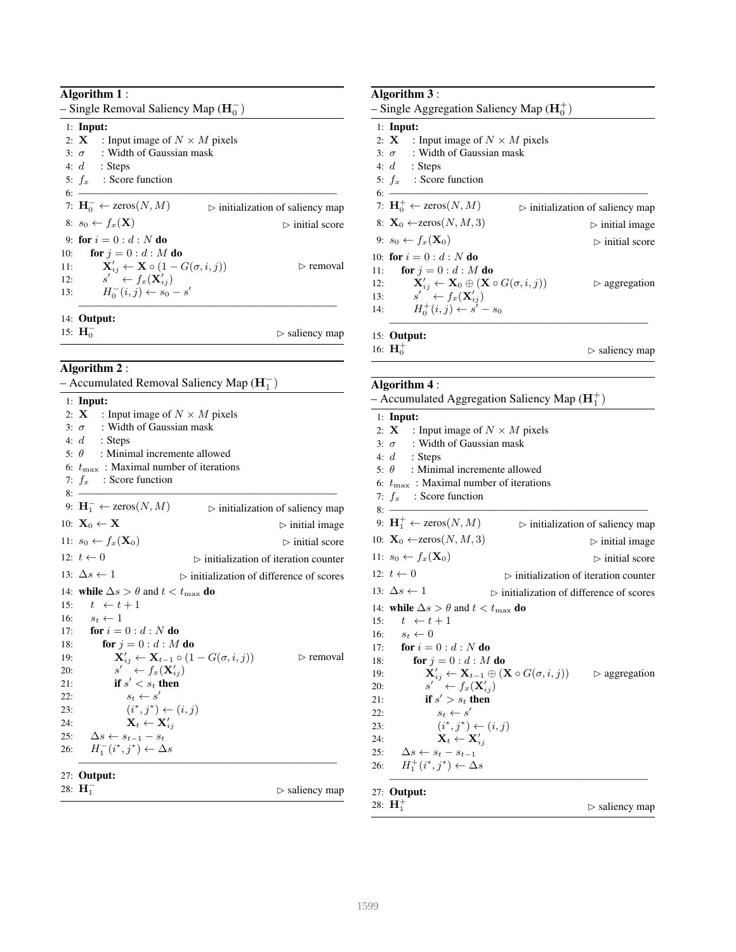| <b>Algorithm 1:</b> |  |  |
|---------------------|--|--|
|---------------------|--|--|

| - Single Removal Saliency Map ( $\mathbf{H}_{0}^{-}$ ) |                                                                      |                                                 |  |  |  |
|--------------------------------------------------------|----------------------------------------------------------------------|-------------------------------------------------|--|--|--|
|                                                        | $1:$ Input:                                                          |                                                 |  |  |  |
|                                                        | 2: <b>X</b> : Input image of $N \times M$ pixels                     |                                                 |  |  |  |
|                                                        | 3: $\sigma$ : Width of Gaussian mask                                 |                                                 |  |  |  |
|                                                        | 4: $d$ : Steps                                                       |                                                 |  |  |  |
|                                                        | 5: $f_x$ : Score function                                            |                                                 |  |  |  |
| 6 <sup>.</sup>                                         |                                                                      |                                                 |  |  |  |
|                                                        | 7: $\mathbf{H}_{0}^{-} \leftarrow$ zeros $(N, M)$                    | $\triangleright$ initialization of saliency map |  |  |  |
|                                                        | 8: $s_0 \leftarrow f_x(\mathbf{X})$                                  | $\triangleright$ initial score                  |  |  |  |
|                                                        | 9: for $i = 0 : d : N$ do                                            |                                                 |  |  |  |
| 10:                                                    | for $j=0:d:M$ do                                                     |                                                 |  |  |  |
| 11:                                                    | $\mathbf{X}'_{ij} \leftarrow \mathbf{X} \circ (1 - G(\sigma, i, j))$ | $\triangleright$ removal                        |  |  |  |
| 12:                                                    | $s' \leftarrow f_x(\mathbf{X}'_{ij})$                                |                                                 |  |  |  |
| 13:                                                    | $H_0^-(i,j) \leftarrow s_0 - s'$                                     |                                                 |  |  |  |
|                                                        |                                                                      |                                                 |  |  |  |
|                                                        | 14: <b>Output:</b>                                                   |                                                 |  |  |  |
|                                                        | 15: $H_0^-$                                                          | $\triangleright$ saliency map                   |  |  |  |

Algorithm 2 :

| - Accumulated Removal Saliency Map $(H_1^-)$                                                           |  |  |  |  |
|--------------------------------------------------------------------------------------------------------|--|--|--|--|
| $1:$ Input:                                                                                            |  |  |  |  |
| 2: <b>X</b> : Input image of $N \times M$ pixels                                                       |  |  |  |  |
| 3: $\sigma$ : Width of Gaussian mask                                                                   |  |  |  |  |
| 4: $d$ : Steps                                                                                         |  |  |  |  |
| : Minimal incremente allowed<br>5: $\theta$                                                            |  |  |  |  |
| 6: $t_{\text{max}}$ : Maximal number of iterations                                                     |  |  |  |  |
| 7: $f_x$ : Score function                                                                              |  |  |  |  |
| 8:                                                                                                     |  |  |  |  |
| 9: $\mathbf{H}_1^- \leftarrow \text{zeros}(N, M)$<br>$\triangleright$ initialization of saliency map   |  |  |  |  |
| 10: $\mathbf{X}_0 \leftarrow \mathbf{X}$<br>$\triangleright$ initial image                             |  |  |  |  |
| 11: $s_0 \leftarrow f_x(\mathbf{X}_0)$<br>$\triangleright$ initial score                               |  |  |  |  |
| 12: $t \leftarrow 0$<br>$\triangleright$ initialization of iteration counter                           |  |  |  |  |
| 13: $\Delta s \leftarrow 1$<br>$\triangleright$ initialization of difference of scores                 |  |  |  |  |
| 14: while $\Delta s > \theta$ and $t < t_{\text{max}}$ do                                              |  |  |  |  |
| $t \leftarrow t+1$<br>15:                                                                              |  |  |  |  |
| 16: $s_t \leftarrow 1$                                                                                 |  |  |  |  |
| 17: <b>for</b> $i = 0 : d : N$ <b>do</b>                                                               |  |  |  |  |
| for $j=0:d:M$ do<br>18:                                                                                |  |  |  |  |
| $\mathbf{X}'_{ij} \leftarrow \mathbf{X}_{t-1} \circ (1 - G(\sigma, i, j))$<br>$\triangleright$ removal |  |  |  |  |
| $s' \leftarrow f_x(\mathbf{X}'_{ii})$                                                                  |  |  |  |  |
| if $s' < s_t$ then                                                                                     |  |  |  |  |
| $s_t \leftarrow s'$                                                                                    |  |  |  |  |
| $(i^*, j^*) \leftarrow (i, j)$                                                                         |  |  |  |  |
| $\mathbf{X}_t \leftarrow \mathbf{X}_{ii}'$                                                             |  |  |  |  |
| $\Delta s \leftarrow s_{t-1} - s_t$                                                                    |  |  |  |  |
| $H_1^-(i^*,j^*) \leftarrow \Delta s$                                                                   |  |  |  |  |
| $27:$ Output:                                                                                          |  |  |  |  |
| 28: $H_1^-$<br>$\triangleright$ saliency map                                                           |  |  |  |  |
|                                                                                                        |  |  |  |  |

| Algorithm 3:                                                                                |                                                 |
|---------------------------------------------------------------------------------------------|-------------------------------------------------|
| - Single Aggregation Saliency Map $(H_0^+)$                                                 |                                                 |
| $1:$ Input:                                                                                 |                                                 |
| 2: <b>X</b> : Input image of $N \times M$ pixels                                            |                                                 |
| 3: $\sigma$ : Width of Gaussian mask                                                        |                                                 |
| 4: $d$ : Steps                                                                              |                                                 |
| 5: $f_x$ : Score function                                                                   |                                                 |
| 6: $\frac{1}{2}$                                                                            |                                                 |
| 7: $\mathbf{H}_0^+ \leftarrow \text{zeros}(N, M)$                                           | $\triangleright$ initialization of saliency map |
| 8: $\mathbf{X}_0 \leftarrow \text{zeros}(N, M, 3)$                                          | $\triangleright$ initial image                  |
| 9: $s_0 \leftarrow f_x(\mathbf{X}_0)$                                                       | $\triangleright$ initial score                  |
| 10 for $i = 0:d : N$ do                                                                     |                                                 |
| for $j=0:d:M$ do<br>11:                                                                     |                                                 |
| $\mathbf{X}'_{ij} \leftarrow \mathbf{X}_0 \oplus (\mathbf{X} \circ G(\sigma, i, j))$<br>12: | $\triangleright$ aggregation                    |
| $s' \leftarrow f_x(\mathbf{X}'_{ij})$<br>13:                                                |                                                 |
| $H_0^+(i,j) \leftarrow s'-s_0$<br>14:                                                       |                                                 |
| $15:$ Output:                                                                               |                                                 |
| 16: $H_0^+$                                                                                 | $\triangleright$ saliency map                   |
|                                                                                             |                                                 |
| Algorithm 4 :                                                                               |                                                 |
| $\Lambda$ counvulated $\Lambda$ generation Saliency Map ( $\mathbf{H}^+$ )                  |                                                 |

| $1:$ Input:<br>2: <b>X</b> : Input image of $N \times M$ pixels<br>3: $\sigma$ : Width of Gaussian mask<br>4: $d$ : Steps<br>: Minimal incremente allowed<br>5: $\theta$<br>6: $t_{\text{max}}$ : Maximal number of iterations<br>7: $f_x$ : Score function<br>$8 -$<br>9: $\mathbf{H}_1^+ \leftarrow \text{zeros}(N, M)$<br>$\triangleright$ initialization of saliency map |
|------------------------------------------------------------------------------------------------------------------------------------------------------------------------------------------------------------------------------------------------------------------------------------------------------------------------------------------------------------------------------|
|                                                                                                                                                                                                                                                                                                                                                                              |
|                                                                                                                                                                                                                                                                                                                                                                              |
|                                                                                                                                                                                                                                                                                                                                                                              |
|                                                                                                                                                                                                                                                                                                                                                                              |
|                                                                                                                                                                                                                                                                                                                                                                              |
|                                                                                                                                                                                                                                                                                                                                                                              |
|                                                                                                                                                                                                                                                                                                                                                                              |
|                                                                                                                                                                                                                                                                                                                                                                              |
|                                                                                                                                                                                                                                                                                                                                                                              |
| 10: $\mathbf{X}_0 \leftarrow \text{zeros}(N, M, 3)$<br>$\triangleright$ initial image                                                                                                                                                                                                                                                                                        |
| 11: $s_0 \leftarrow f_x(\mathbf{X}_0)$<br>$\triangleright$ initial score                                                                                                                                                                                                                                                                                                     |
| 12: $t \leftarrow 0$<br>$\triangleright$ initialization of iteration counter                                                                                                                                                                                                                                                                                                 |
| 13: $\Delta s \leftarrow 1$<br>$\triangleright$ initialization of difference of scores                                                                                                                                                                                                                                                                                       |
| 14: while $\Delta s > \theta$ and $t < t_{\text{max}}$ do                                                                                                                                                                                                                                                                                                                    |
| $t \leftarrow t+1$<br>15:                                                                                                                                                                                                                                                                                                                                                    |
| 16: $s_t \leftarrow 0$                                                                                                                                                                                                                                                                                                                                                       |
| 17: <b>for</b> $i = 0 : d : N$ <b>do</b>                                                                                                                                                                                                                                                                                                                                     |
| for $j=0:d:M$ do<br>18:                                                                                                                                                                                                                                                                                                                                                      |
| $\mathbf{X}'_{ij} \leftarrow \mathbf{X}_{t-1} \oplus \left(\mathbf{X} \circ G(\sigma, i, j)\right) \qquad \rhd \text{aggregation}$<br>19:                                                                                                                                                                                                                                    |
| $s' \leftarrow f_x(\mathbf{X}'_{ii})$<br>20:                                                                                                                                                                                                                                                                                                                                 |
| if $s' > s_t$ then<br>21:                                                                                                                                                                                                                                                                                                                                                    |
| $s_t \leftarrow s'$<br>22:                                                                                                                                                                                                                                                                                                                                                   |
| $(i^*, j^*) \leftarrow (i, j)$<br>23:                                                                                                                                                                                                                                                                                                                                        |
| $\mathbf{X}_t \leftarrow \mathbf{X}_{ii}'$<br>24:                                                                                                                                                                                                                                                                                                                            |
| 25:<br>$\Delta s \leftarrow s_t - s_{t-1}$                                                                                                                                                                                                                                                                                                                                   |
| $H_1^+(i^*,j^*) \leftarrow \Delta s$<br>26:                                                                                                                                                                                                                                                                                                                                  |
| $27:$ Output:                                                                                                                                                                                                                                                                                                                                                                |
| 28: $H_1^+$<br>$\triangleright$ saliency map                                                                                                                                                                                                                                                                                                                                 |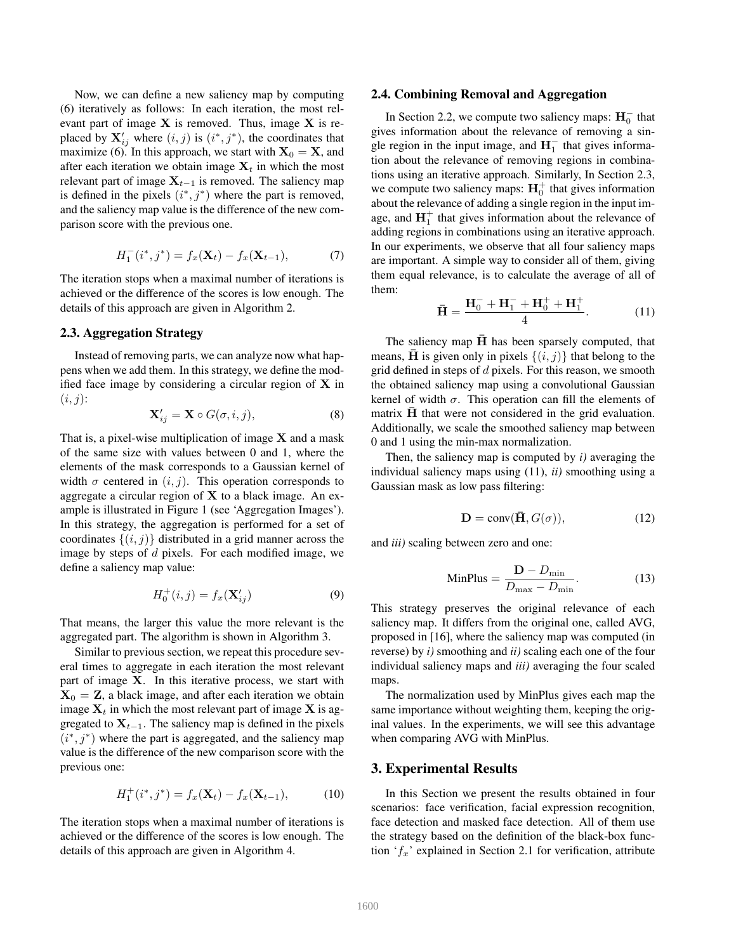Now, we can define a new saliency map by computing (6) iteratively as follows: In each iteration, the most relevant part of image  $X$  is removed. Thus, image  $X$  is replaced by  $X'_{ij}$  where  $(i, j)$  is  $(i^*, j^*)$ , the coordinates that maximize (6). In this approach, we start with  $X_0 = X$ , and after each iteration we obtain image  $X_t$  in which the most relevant part of image  $X_{t-1}$  is removed. The saliency map is defined in the pixels  $(i^*, j^*)$  where the part is removed, and the saliency map value is the difference of the new comparison score with the previous one.

$$
H_1^-(i^*,j^*) = f_x(\mathbf{X}_t) - f_x(\mathbf{X}_{t-1}),\tag{7}
$$

The iteration stops when a maximal number of iterations is achieved or the difference of the scores is low enough. The details of this approach are given in Algorithm 2.

### 2.3. Aggregation Strategy

Instead of removing parts, we can analyze now what happens when we add them. In this strategy, we define the modified face image by considering a circular region of  $X$  in  $(i, j)$ :

$$
\mathbf{X}'_{ij} = \mathbf{X} \circ G(\sigma, i, j), \tag{8}
$$

That is, a pixel-wise multiplication of image  $X$  and a mask of the same size with values between 0 and 1, where the elements of the mask corresponds to a Gaussian kernel of width  $\sigma$  centered in  $(i, j)$ . This operation corresponds to aggregate a circular region of  $X$  to a black image. An example is illustrated in Figure 1 (see 'Aggregation Images'). In this strategy, the aggregation is performed for a set of coordinates  $\{(i, j)\}\$  distributed in a grid manner across the image by steps of *d* pixels. For each modified image, we define a saliency map value:

$$
H_0^+(i,j) = f_x(\mathbf{X}'_{ij})
$$
\n(9)

That means, the larger this value the more relevant is the aggregated part. The algorithm is shown in Algorithm 3.

Similar to previous section, we repeat this procedure several times to aggregate in each iteration the most relevant part of image X. In this iterative process, we start with  $X_0 = Z$ , a black image, and after each iteration we obtain image  $X_t$  in which the most relevant part of image  $X$  is aggregated to  $X_{t-1}$ . The saliency map is defined in the pixels  $(i^*, j^*)$  where the part is aggregated, and the saliency map value is the difference of the new comparison score with the previous one:

$$
H_1^+(i^*,j^*) = f_x(\mathbf{X}_t) - f_x(\mathbf{X}_{t-1}),\tag{10}
$$

The iteration stops when a maximal number of iterations is achieved or the difference of the scores is low enough. The details of this approach are given in Algorithm 4.

# 2.4. Combining Removal and Aggregation

In Section 2.2, we compute two saliency maps:  $\mathbf{H}_{0}^{-}$  that gives information about the relevance of removing a single region in the input image, and  $H_1^-$  that gives information about the relevance of removing regions in combinations using an iterative approach. Similarly, In Section 2.3, we compute two saliency maps:  $H_0^+$  that gives information about the relevance of adding a single region in the input image, and  $H_1^+$  that gives information about the relevance of adding regions in combinations using an iterative approach. In our experiments, we observe that all four saliency maps are important. A simple way to consider all of them, giving them equal relevance, is to calculate the average of all of them:

$$
\bar{\mathbf{H}} = \frac{\mathbf{H}_0^- + \mathbf{H}_1^- + \mathbf{H}_0^+ + \mathbf{H}_1^+}{4}.
$$
 (11)

The saliency map  $H$  has been sparsely computed, that means,  $\overline{H}$  is given only in pixels  $\{(i, j)\}\$  that belong to the grid defined in steps of *d* pixels. For this reason, we smooth the obtained saliency map using a convolutional Gaussian kernel of width  $\sigma$ . This operation can fill the elements of matrix  $H$  that were not considered in the grid evaluation. Additionally, we scale the smoothed saliency map between 0 and 1 using the min-max normalization.

Then, the saliency map is computed by *i)* averaging the individual saliency maps using (11), *ii)* smoothing using a Gaussian mask as low pass filtering:

$$
\mathbf{D} = \text{conv}(\mathbf{\bar{H}}, G(\sigma)),\tag{12}
$$

and *iii)* scaling between zero and one:

$$
\text{MinPlus} = \frac{\mathbf{D} - D_{\text{min}}}{D_{\text{max}} - D_{\text{min}}}.\tag{13}
$$

This strategy preserves the original relevance of each saliency map. It differs from the original one, called AVG, proposed in [16], where the saliency map was computed (in reverse) by *i)* smoothing and *ii)* scaling each one of the four individual saliency maps and *iii)* averaging the four scaled maps.

The normalization used by MinPlus gives each map the same importance without weighting them, keeping the original values. In the experiments, we will see this advantage when comparing AVG with MinPlus.

# 3. Experimental Results

In this Section we present the results obtained in four scenarios: face verification, facial expression recognition, face detection and masked face detection. All of them use the strategy based on the definition of the black-box function '*fx*' explained in Section 2.1 for verification, attribute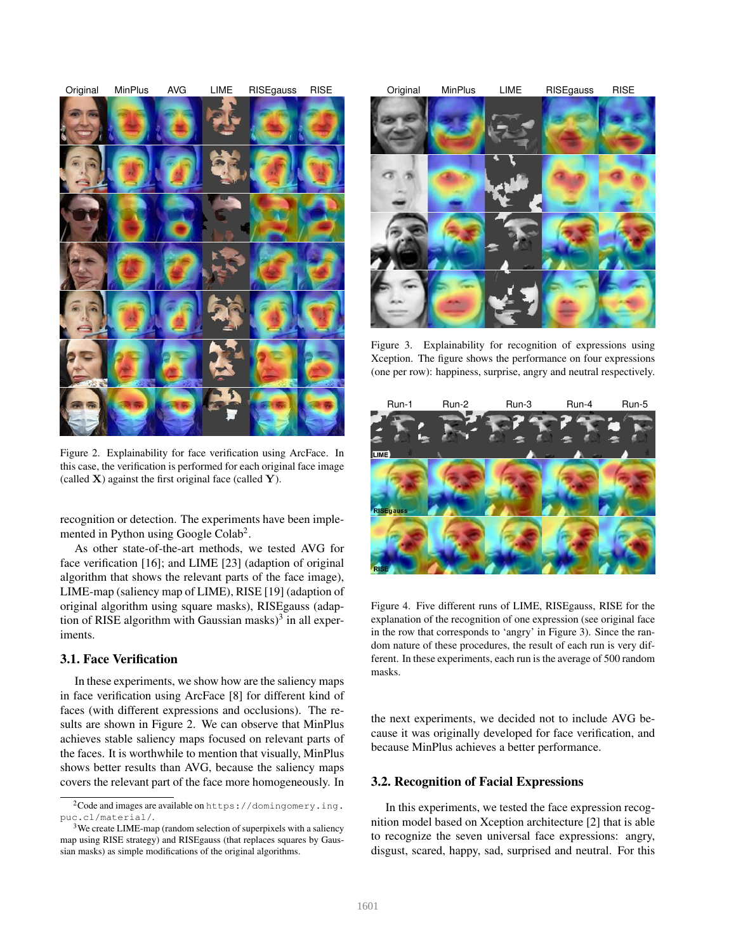

Figure 2. Explainability for face verification using ArcFace. In this case, the verification is performed for each original face image (called  $X$ ) against the first original face (called  $Y$ ).

recognition or detection. The experiments have been implemented in Python using Google Colab<sup>2</sup>.

As other state-of-the-art methods, we tested AVG for face verification [16]; and LIME [23] (adaption of original algorithm that shows the relevant parts of the face image), LIME-map (saliency map of LIME), RISE [19] (adaption of original algorithm using square masks), RISEgauss (adaption of RISE algorithm with Gaussian masks $3<sup>3</sup>$  in all experiments.

### 3.1. Face Verification

In these experiments, we show how are the saliency maps in face verification using ArcFace [8] for different kind of faces (with different expressions and occlusions). The results are shown in Figure 2. We can observe that MinPlus achieves stable saliency maps focused on relevant parts of the faces. It is worthwhile to mention that visually, MinPlus shows better results than AVG, because the saliency maps covers the relevant part of the face more homogeneously. In



Figure 3. Explainability for recognition of expressions using Xception. The figure shows the performance on four expressions (one per row): happiness, surprise, angry and neutral respectively.



Figure 4. Five different runs of LIME, RISEgauss, RISE for the explanation of the recognition of one expression (see original face in the row that corresponds to 'angry' in Figure 3). Since the random nature of these procedures, the result of each run is very different. In these experiments, each run is the average of 500 random masks.

the next experiments, we decided not to include AVG because it was originally developed for face verification, and because MinPlus achieves a better performance.

#### 3.2. Recognition of Facial Expressions

In this experiments, we tested the face expression recognition model based on Xception architecture [2] that is able to recognize the seven universal face expressions: angry, disgust, scared, happy, sad, surprised and neutral. For this

<sup>2</sup>Code and images are available on https://domingomery.ing. puc.cl/material/.

<sup>&</sup>lt;sup>3</sup>We create LIME-map (random selection of superpixels with a saliency map using RISE strategy) and RISEgauss (that replaces squares by Gaussian masks) as simple modifications of the original algorithms.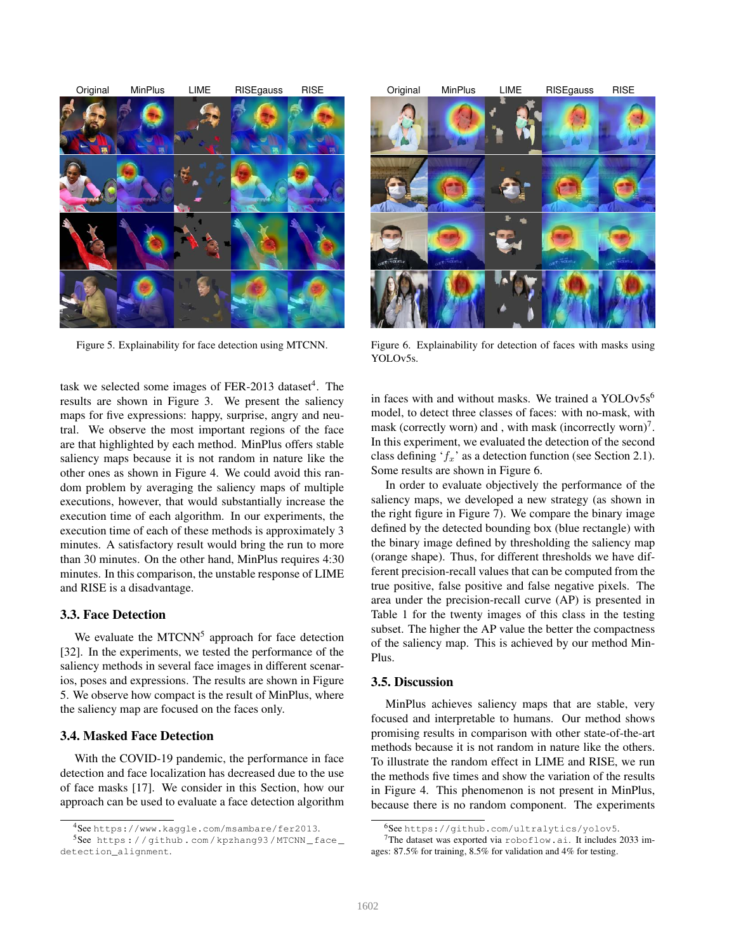

Figure 5. Explainability for face detection using MTCNN.

task we selected some images of FER-2013 dataset<sup>4</sup>. The results are shown in Figure 3. We present the saliency maps for five expressions: happy, surprise, angry and neutral. We observe the most important regions of the face are that highlighted by each method. MinPlus offers stable saliency maps because it is not random in nature like the other ones as shown in Figure 4. We could avoid this random problem by averaging the saliency maps of multiple executions, however, that would substantially increase the execution time of each algorithm. In our experiments, the execution time of each of these methods is approximately 3 minutes. A satisfactory result would bring the run to more than 30 minutes. On the other hand, MinPlus requires 4:30 minutes. In this comparison, the unstable response of LIME and RISE is a disadvantage.

# 3.3. Face Detection

We evaluate the  $MTCNN<sup>5</sup>$  approach for face detection [32]. In the experiments, we tested the performance of the saliency methods in several face images in different scenarios, poses and expressions. The results are shown in Figure 5. We observe how compact is the result of MinPlus, where the saliency map are focused on the faces only.

### 3.4. Masked Face Detection

With the COVID-19 pandemic, the performance in face detection and face localization has decreased due to the use of face masks [17]. We consider in this Section, how our approach can be used to evaluate a face detection algorithm



Figure 6. Explainability for detection of faces with masks using YOLOv5s.

in faces with and without masks. We trained a YOLOv $5s<sup>6</sup>$ model, to detect three classes of faces: with no-mask, with mask (correctly worn) and , with mask (incorrectly worn)<sup>7</sup>. In this experiment, we evaluated the detection of the second class defining '*fx*' as a detection function (see Section 2.1). Some results are shown in Figure 6.

In order to evaluate objectively the performance of the saliency maps, we developed a new strategy (as shown in the right figure in Figure 7). We compare the binary image defined by the detected bounding box (blue rectangle) with the binary image defined by thresholding the saliency map (orange shape). Thus, for different thresholds we have different precision-recall values that can be computed from the true positive, false positive and false negative pixels. The area under the precision-recall curve (AP) is presented in Table 1 for the twenty images of this class in the testing subset. The higher the AP value the better the compactness of the saliency map. This is achieved by our method Min-Plus.

#### 3.5. Discussion

MinPlus achieves saliency maps that are stable, very focused and interpretable to humans. Our method shows promising results in comparison with other state-of-the-art methods because it is not random in nature like the others. To illustrate the random effect in LIME and RISE, we run the methods five times and show the variation of the results in Figure 4. This phenomenon is not present in MinPlus, because there is no random component. The experiments

<sup>4</sup>See https://www.kaggle.com/msambare/fer2013.

 $5$ See https://github.com/kpzhang93/MTCNN\_face\_ detection\_alignment.

<sup>6</sup>See https://github.com/ultralytics/yolov5.

<sup>&</sup>lt;sup>7</sup>The dataset was exported via roboflow.ai. It includes 2033 images: 87.5% for training, 8.5% for validation and 4% for testing.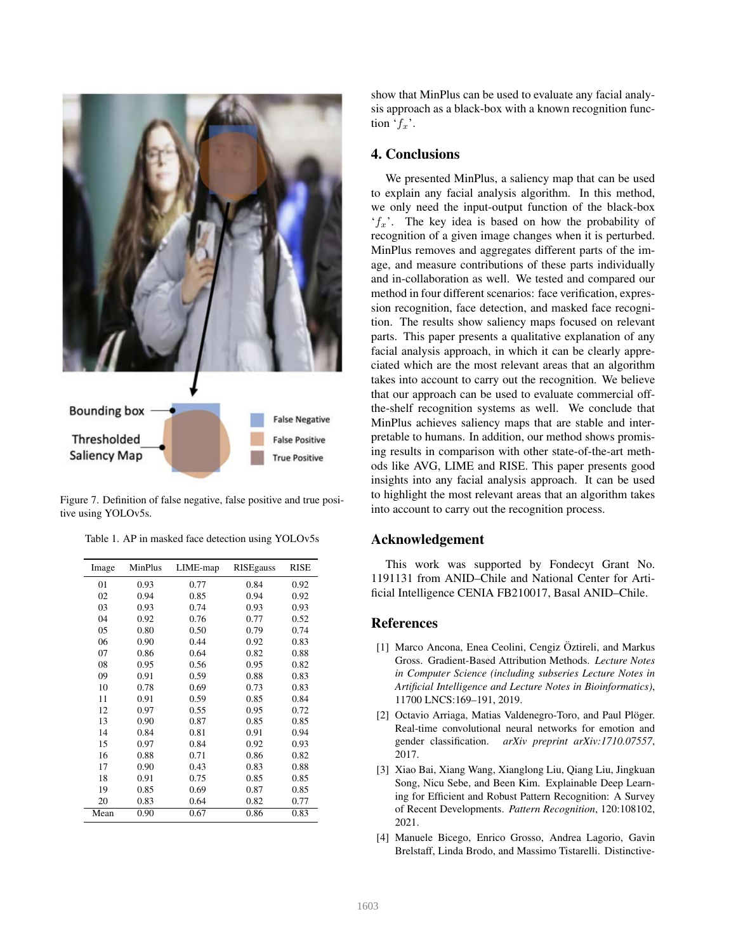

Figure 7. Definition of false negative, false positive and true positive using YOLOv5s.

| Image | MinPlus | LIME-map | <b>RISEgauss</b> | RISE |
|-------|---------|----------|------------------|------|
| 01    | 0.93    | 0.77     | 0.84             | 0.92 |
| 02    | 0.94    | 0.85     | 0.94             | 0.92 |
| 03    | 0.93    | 0.74     | 0.93             | 0.93 |
| 04    | 0.92    | 0.76     | 0.77             | 0.52 |
| 05    | 0.80    | 0.50     | 0.79             | 0.74 |
| 06    | 0.90    | 0.44     | 0.92             | 0.83 |
| 07    | 0.86    | 0.64     | 0.82             | 0.88 |
| 08    | 0.95    | 0.56     | 0.95             | 0.82 |
| 09    | 0.91    | 0.59     | 0.88             | 0.83 |
| 10    | 0.78    | 0.69     | 0.73             | 0.83 |
| 11    | 0.91    | 0.59     | 0.85             | 0.84 |
| 12    | 0.97    | 0.55     | 0.95             | 0.72 |
| 13    | 0.90    | 0.87     | 0.85             | 0.85 |
| 14    | 0.84    | 0.81     | 0.91             | 0.94 |
| 15    | 0.97    | 0.84     | 0.92             | 0.93 |
| 16    | 0.88    | 0.71     | 0.86             | 0.82 |
| 17    | 0.90    | 0.43     | 0.83             | 0.88 |
| 18    | 0.91    | 0.75     | 0.85             | 0.85 |
| 19    | 0.85    | 0.69     | 0.87             | 0.85 |
| 20    | 0.83    | 0.64     | 0.82             | 0.77 |
| Mean  | 0.90    | 0.67     | 0.86             | 0.83 |
|       |         |          |                  |      |

Table 1. AP in masked face detection using YOLOv5s

show that MinPlus can be used to evaluate any facial analysis approach as a black-box with a known recognition function  $f_x$ <sup>'</sup>.

# 4. Conclusions

We presented MinPlus, a saliency map that can be used to explain any facial analysis algorithm. In this method, we only need the input-output function of the black-box '*fx*'. The key idea is based on how the probability of recognition of a given image changes when it is perturbed. MinPlus removes and aggregates different parts of the image, and measure contributions of these parts individually and in-collaboration as well. We tested and compared our method in four different scenarios: face verification, expression recognition, face detection, and masked face recognition. The results show saliency maps focused on relevant parts. This paper presents a qualitative explanation of any facial analysis approach, in which it can be clearly appreciated which are the most relevant areas that an algorithm takes into account to carry out the recognition. We believe that our approach can be used to evaluate commercial offthe-shelf recognition systems as well. We conclude that MinPlus achieves saliency maps that are stable and interpretable to humans. In addition, our method shows promising results in comparison with other state-of-the-art methods like AVG, LIME and RISE. This paper presents good insights into any facial analysis approach. It can be used to highlight the most relevant areas that an algorithm takes into account to carry out the recognition process.

## Acknowledgement

This work was supported by Fondecyt Grant No. 1191131 from ANID–Chile and National Center for Artificial Intelligence CENIA FB210017, Basal ANID–Chile.

# References

- [1] Marco Ancona, Enea Ceolini, Cengiz Öztireli, and Markus Gross. Gradient-Based Attribution Methods. *Lecture Notes in Computer Science (including subseries Lecture Notes in Artificial Intelligence and Lecture Notes in Bioinformatics)*, 11700 LNCS:169–191, 2019.
- [2] Octavio Arriaga, Matias Valdenegro-Toro, and Paul Plöger. Real-time convolutional neural networks for emotion and gender classification. *arXiv preprint arXiv:1710.07557*, 2017.
- [3] Xiao Bai, Xiang Wang, Xianglong Liu, Qiang Liu, Jingkuan Song, Nicu Sebe, and Been Kim. Explainable Deep Learning for Efficient and Robust Pattern Recognition: A Survey of Recent Developments. *Pattern Recognition*, 120:108102, 2021.
- [4] Manuele Bicego, Enrico Grosso, Andrea Lagorio, Gavin Brelstaff, Linda Brodo, and Massimo Tistarelli. Distinctive-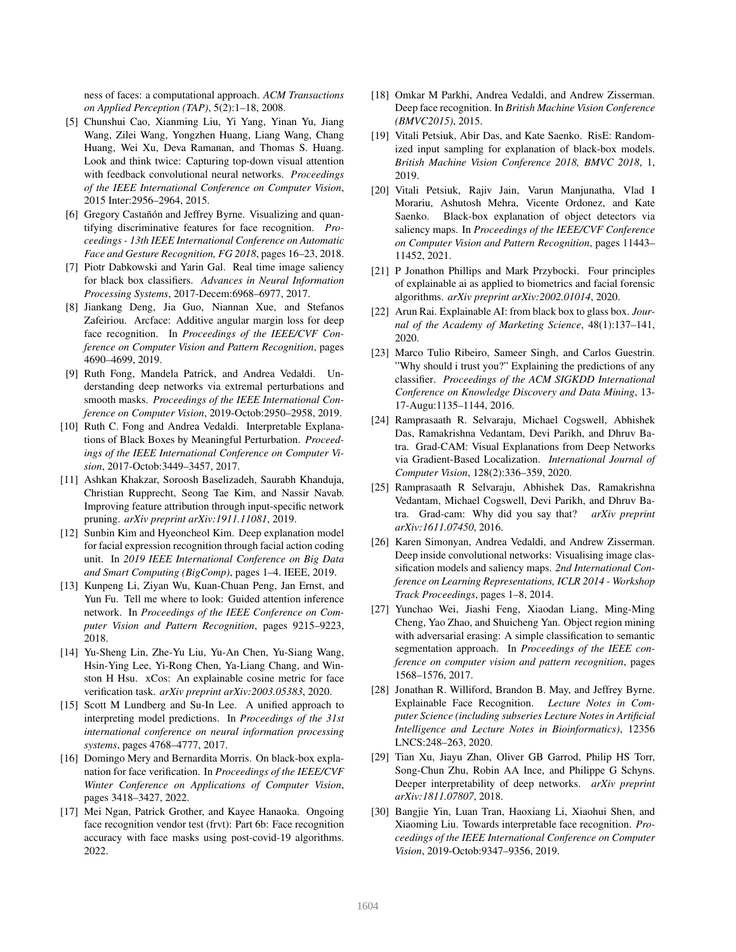ness of faces: a computational approach. *ACM Transactions on Applied Perception (TAP)*, 5(2):1–18, 2008.

- [5] Chunshui Cao, Xianming Liu, Yi Yang, Yinan Yu, Jiang Wang, Zilei Wang, Yongzhen Huang, Liang Wang, Chang Huang, Wei Xu, Deva Ramanan, and Thomas S. Huang. Look and think twice: Capturing top-down visual attention with feedback convolutional neural networks. *Proceedings of the IEEE International Conference on Computer Vision*, 2015 Inter:2956–2964, 2015.
- [6] Gregory Castañón and Jeffrey Byrne. Visualizing and quantifying discriminative features for face recognition. *Proceedings - 13th IEEE International Conference on Automatic Face and Gesture Recognition, FG 2018*, pages 16–23, 2018.
- [7] Piotr Dabkowski and Yarin Gal. Real time image saliency for black box classifiers. *Advances in Neural Information Processing Systems*, 2017-Decem:6968–6977, 2017.
- [8] Jiankang Deng, Jia Guo, Niannan Xue, and Stefanos Zafeiriou. Arcface: Additive angular margin loss for deep face recognition. In *Proceedings of the IEEE/CVF Conference on Computer Vision and Pattern Recognition*, pages 4690–4699, 2019.
- [9] Ruth Fong, Mandela Patrick, and Andrea Vedaldi. Understanding deep networks via extremal perturbations and smooth masks. *Proceedings of the IEEE International Conference on Computer Vision*, 2019-Octob:2950–2958, 2019.
- [10] Ruth C. Fong and Andrea Vedaldi. Interpretable Explanations of Black Boxes by Meaningful Perturbation. *Proceedings of the IEEE International Conference on Computer Vision*, 2017-Octob:3449–3457, 2017.
- [11] Ashkan Khakzar, Soroosh Baselizadeh, Saurabh Khanduja, Christian Rupprecht, Seong Tae Kim, and Nassir Navab. Improving feature attribution through input-specific network pruning. *arXiv preprint arXiv:1911.11081*, 2019.
- [12] Sunbin Kim and Hyeoncheol Kim. Deep explanation model for facial expression recognition through facial action coding unit. In *2019 IEEE International Conference on Big Data and Smart Computing (BigComp)*, pages 1–4. IEEE, 2019.
- [13] Kunpeng Li, Ziyan Wu, Kuan-Chuan Peng, Jan Ernst, and Yun Fu. Tell me where to look: Guided attention inference network. In *Proceedings of the IEEE Conference on Computer Vision and Pattern Recognition*, pages 9215–9223, 2018.
- [14] Yu-Sheng Lin, Zhe-Yu Liu, Yu-An Chen, Yu-Siang Wang, Hsin-Ying Lee, Yi-Rong Chen, Ya-Liang Chang, and Winston H Hsu. xCos: An explainable cosine metric for face verification task. *arXiv preprint arXiv:2003.05383*, 2020.
- [15] Scott M Lundberg and Su-In Lee. A unified approach to interpreting model predictions. In *Proceedings of the 31st international conference on neural information processing systems*, pages 4768–4777, 2017.
- [16] Domingo Mery and Bernardita Morris. On black-box explanation for face verification. In *Proceedings of the IEEE/CVF Winter Conference on Applications of Computer Vision*, pages 3418–3427, 2022.
- [17] Mei Ngan, Patrick Grother, and Kayee Hanaoka. Ongoing face recognition vendor test (frvt): Part 6b: Face recognition accuracy with face masks using post-covid-19 algorithms. 2022.
- [18] Omkar M Parkhi, Andrea Vedaldi, and Andrew Zisserman. Deep face recognition. In *British Machine Vision Conference (BMVC2015)*, 2015.
- [19] Vitali Petsiuk, Abir Das, and Kate Saenko. RisE: Randomized input sampling for explanation of black-box models. *British Machine Vision Conference 2018, BMVC 2018*, 1, 2019.
- [20] Vitali Petsiuk, Rajiv Jain, Varun Manjunatha, Vlad I Morariu, Ashutosh Mehra, Vicente Ordonez, and Kate Saenko. Black-box explanation of object detectors via saliency maps. In *Proceedings of the IEEE/CVF Conference on Computer Vision and Pattern Recognition*, pages 11443– 11452, 2021.
- [21] P Jonathon Phillips and Mark Przybocki. Four principles of explainable ai as applied to biometrics and facial forensic algorithms. *arXiv preprint arXiv:2002.01014*, 2020.
- [22] Arun Rai. Explainable AI: from black box to glass box. *Journal of the Academy of Marketing Science*, 48(1):137–141, 2020.
- [23] Marco Tulio Ribeiro, Sameer Singh, and Carlos Guestrin. "Why should i trust you?" Explaining the predictions of any classifier. *Proceedings of the ACM SIGKDD International Conference on Knowledge Discovery and Data Mining*, 13- 17-Augu:1135–1144, 2016.
- [24] Ramprasaath R. Selvaraju, Michael Cogswell, Abhishek Das, Ramakrishna Vedantam, Devi Parikh, and Dhruv Batra. Grad-CAM: Visual Explanations from Deep Networks via Gradient-Based Localization. *International Journal of Computer Vision*, 128(2):336–359, 2020.
- [25] Ramprasaath R Selvaraju, Abhishek Das, Ramakrishna Vedantam, Michael Cogswell, Devi Parikh, and Dhruv Batra. Grad-cam: Why did you say that? *arXiv preprint arXiv:1611.07450*, 2016.
- [26] Karen Simonyan, Andrea Vedaldi, and Andrew Zisserman. Deep inside convolutional networks: Visualising image classification models and saliency maps. *2nd International Conference on Learning Representations, ICLR 2014 - Workshop Track Proceedings*, pages 1–8, 2014.
- [27] Yunchao Wei, Jiashi Feng, Xiaodan Liang, Ming-Ming Cheng, Yao Zhao, and Shuicheng Yan. Object region mining with adversarial erasing: A simple classification to semantic segmentation approach. In *Proceedings of the IEEE conference on computer vision and pattern recognition*, pages 1568–1576, 2017.
- [28] Jonathan R. Williford, Brandon B. May, and Jeffrey Byrne. Explainable Face Recognition. *Lecture Notes in Computer Science (including subseries Lecture Notes in Artificial Intelligence and Lecture Notes in Bioinformatics)*, 12356 LNCS:248–263, 2020.
- [29] Tian Xu, Jiayu Zhan, Oliver GB Garrod, Philip HS Torr, Song-Chun Zhu, Robin AA Ince, and Philippe G Schyns. Deeper interpretability of deep networks. *arXiv preprint arXiv:1811.07807*, 2018.
- [30] Bangjie Yin, Luan Tran, Haoxiang Li, Xiaohui Shen, and Xiaoming Liu. Towards interpretable face recognition. *Proceedings of the IEEE International Conference on Computer Vision*, 2019-Octob:9347–9356, 2019.